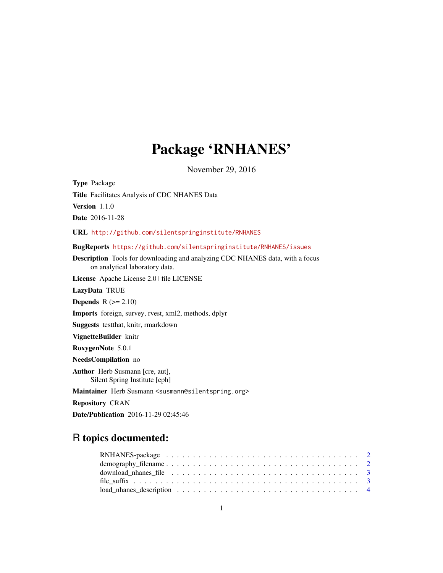## Package 'RNHANES'

November 29, 2016

Type Package Title Facilitates Analysis of CDC NHANES Data Version 1.1.0 Date 2016-11-28 URL <http://github.com/silentspringinstitute/RNHANES> BugReports <https://github.com/silentspringinstitute/RNHANES/issues> Description Tools for downloading and analyzing CDC NHANES data, with a focus on analytical laboratory data. License Apache License 2.0 | file LICENSE LazyData TRUE **Depends**  $R$  ( $>= 2.10$ ) Imports foreign, survey, rvest, xml2, methods, dplyr Suggests testthat, knitr, rmarkdown VignetteBuilder knitr RoxygenNote 5.0.1 NeedsCompilation no Author Herb Susmann [cre, aut], Silent Spring Institute [cph] Maintainer Herb Susmann <susmann@silentspring.org> Repository CRAN

Date/Publication 2016-11-29 02:45:46

### R topics documented:

| download_nhanes_file $\dots \dots \dots \dots \dots \dots \dots \dots \dots \dots \dots \dots \dots \dots$ |  |  |  |  |  |  |  |  |  |  |  |  |  |  |  |  |
|------------------------------------------------------------------------------------------------------------|--|--|--|--|--|--|--|--|--|--|--|--|--|--|--|--|
|                                                                                                            |  |  |  |  |  |  |  |  |  |  |  |  |  |  |  |  |
| $load\_nhanes\_description \dots \dots \dots \dots \dots \dots \dots \dots \dots \dots \dots \dots \dots$  |  |  |  |  |  |  |  |  |  |  |  |  |  |  |  |  |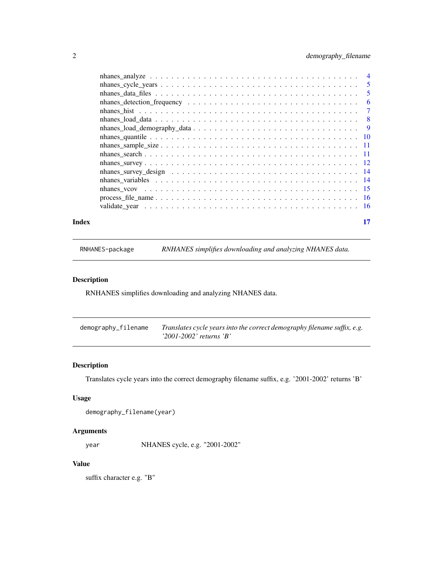<span id="page-1-0"></span>

| Index | 17 |
|-------|----|

RNHANES-package *RNHANES simplifies downloading and analyzing NHANES data.*

#### Description

RNHANES simplifies downloading and analyzing NHANES data.

| demography_filename | Translates cycle years into the correct demography filename suffix, e.g. |
|---------------------|--------------------------------------------------------------------------|
|                     | $'2001-2002'$ returns $'B'$                                              |

#### Description

Translates cycle years into the correct demography filename suffix, e.g. '2001-2002' returns 'B'

#### Usage

```
demography_filename(year)
```
#### Arguments

year NHANES cycle, e.g. "2001-2002"

#### Value

suffix character e.g. "B"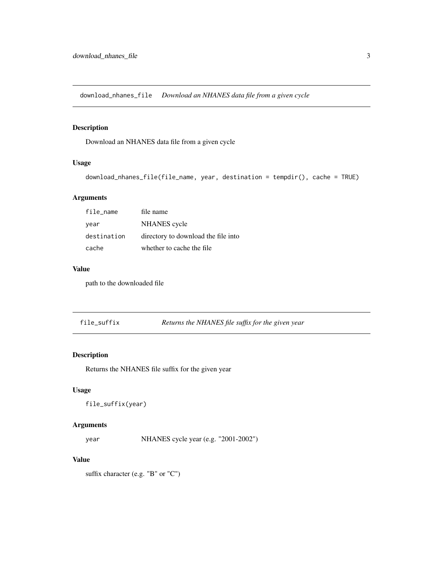<span id="page-2-0"></span>download\_nhanes\_file *Download an NHANES data file from a given cycle*

#### Description

Download an NHANES data file from a given cycle

#### Usage

```
download_nhanes_file(file_name, year, destination = tempdir(), cache = TRUE)
```
#### Arguments

| file_name   | file name                           |
|-------------|-------------------------------------|
| year        | NHANES cycle                        |
| destination | directory to download the file into |
| cache       | whether to cache the file           |

#### Value

path to the downloaded file

file\_suffix *Returns the NHANES file suffix for the given year*

#### Description

Returns the NHANES file suffix for the given year

#### Usage

file\_suffix(year)

#### Arguments

year NHANES cycle year (e.g. "2001-2002")

#### Value

suffix character (e.g. "B" or "C")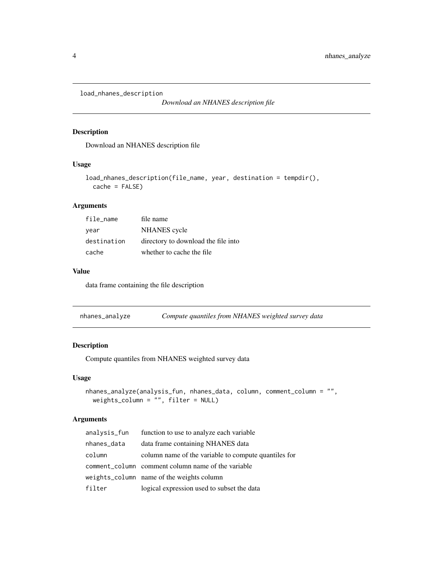<span id="page-3-0"></span>load\_nhanes\_description

*Download an NHANES description file*

#### Description

Download an NHANES description file

#### Usage

```
load_nhanes_description(file_name, year, destination = tempdir(),
 cache = FALSE)
```
#### Arguments

| file name   | file name                           |
|-------------|-------------------------------------|
| year        | NHANES cycle                        |
| destination | directory to download the file into |
| cache       | whether to cache the file           |

#### Value

data frame containing the file description

nhanes\_analyze *Compute quantiles from NHANES weighted survey data*

#### Description

Compute quantiles from NHANES weighted survey data

#### Usage

```
nhanes_analyze(analysis_fun, nhanes_data, column, comment_column = "",
 weights_column = "", filter = NULL)
```
#### Arguments

| analysis_fun | function to use to analyze each variable             |
|--------------|------------------------------------------------------|
| nhanes_data  | data frame containing NHANES data                    |
| column       | column name of the variable to compute quantiles for |
|              | comment_column comment column name of the variable   |
|              | weights_column name of the weights column            |
| filter       | logical expression used to subset the data           |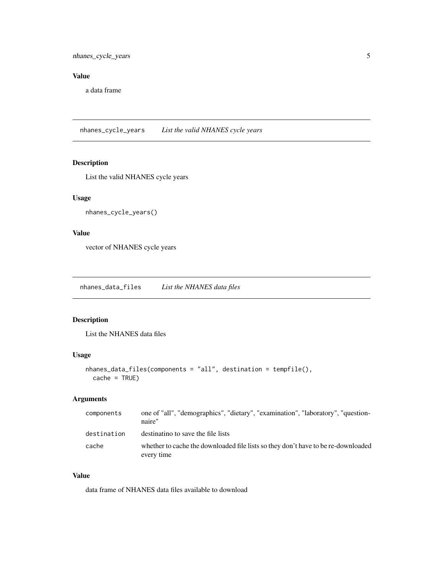#### <span id="page-4-0"></span>Value

a data frame

nhanes\_cycle\_years *List the valid NHANES cycle years*

#### Description

List the valid NHANES cycle years

#### Usage

```
nhanes_cycle_years()
```
#### Value

vector of NHANES cycle years

nhanes\_data\_files *List the NHANES data files*

#### Description

List the NHANES data files

#### Usage

```
nhanes_data_files(components = "all", destination = tempfile(),
  cache = TRUE)
```
#### Arguments

| components  | one of "all", "demographics", "dietary", "examination", "laboratory", "question-<br>naire"      |
|-------------|-------------------------------------------------------------------------------------------------|
| destination | destinatino to save the file lists                                                              |
| cache       | whether to cache the downloaded file lists so they don't have to be re-downloaded<br>every time |

#### Value

data frame of NHANES data files available to download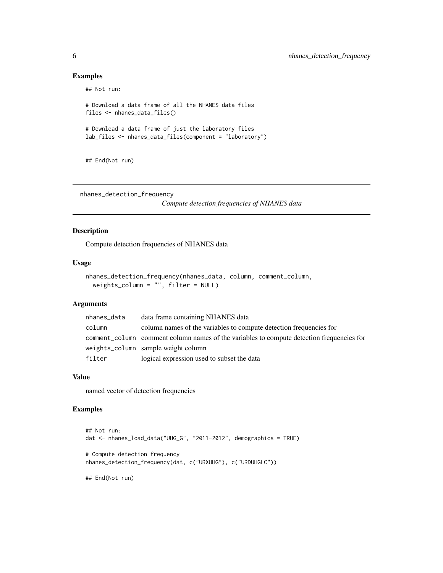#### Examples

## Not run:

```
# Download a data frame of all the NHANES data files
files <- nhanes_data_files()
# Download a data frame of just the laboratory files
lab_files <- nhanes_data_files(component = "laboratory")
```
## End(Not run)

nhanes\_detection\_frequency

*Compute detection frequencies of NHANES data*

#### Description

Compute detection frequencies of NHANES data

#### Usage

```
nhanes_detection_frequency(nhanes_data, column, comment_column,
 weights_column = "", filter = NULL)
```
#### Arguments

| nhanes_data | data frame containing NHANES data                                                         |
|-------------|-------------------------------------------------------------------------------------------|
| column      | column names of the variables to compute detection frequencies for                        |
|             | comment_column comment column names of the variables to compute detection frequencies for |
|             | weights_column sample weight column                                                       |
| filter      | logical expression used to subset the data                                                |

#### Value

named vector of detection frequencies

#### Examples

```
## Not run:
dat <- nhanes_load_data("UHG_G", "2011-2012", demographics = TRUE)
# Compute detection frequency
nhanes_detection_frequency(dat, c("URXUHG"), c("URDUHGLC"))
## End(Not run)
```
<span id="page-5-0"></span>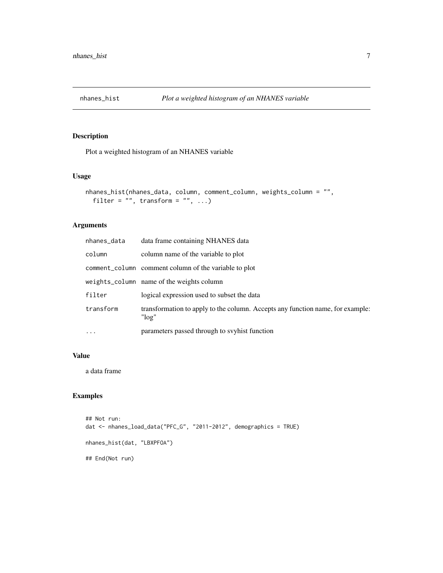<span id="page-6-0"></span>

#### Description

Plot a weighted histogram of an NHANES variable

#### Usage

```
nhanes_hist(nhanes_data, column, comment_column, weights_column = "",
 filter = ", transform = ", ...)
```
#### Arguments

| nhanes_data | data frame containing NHANES data                                                          |
|-------------|--------------------------------------------------------------------------------------------|
| column      | column name of the variable to plot                                                        |
|             | comment_column comment column of the variable to plot                                      |
|             | weights_column name of the weights column                                                  |
| filter      | logical expression used to subset the data                                                 |
| transform   | transformation to apply to the column. Accepts any function name, for example:<br>" $log"$ |
| $\cdots$    | parameters passed through to svyhist function                                              |

#### Value

a data frame

#### Examples

```
## Not run:
dat <- nhanes_load_data("PFC_G", "2011-2012", demographics = TRUE)
nhanes_hist(dat, "LBXPFOA")
## End(Not run)
```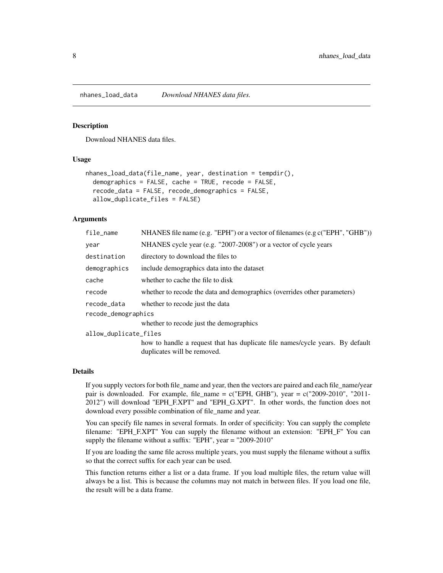<span id="page-7-0"></span>

#### Description

Download NHANES data files.

#### Usage

```
nhanes_load_data(file_name, year, destination = tempdir(),
  demographics = FALSE, cache = TRUE, recode = FALSE,
  recode_data = FALSE, recode_demographics = FALSE,
  allow_duplicate_files = FALSE)
```
#### Arguments

| file_name             | NHANES file name (e.g. "EPH") or a vector of filenames (e.g c("EPH", "GHB"))                                 |
|-----------------------|--------------------------------------------------------------------------------------------------------------|
| year                  | NHANES cycle year (e.g. "2007-2008") or a vector of cycle years                                              |
| destination           | directory to download the files to                                                                           |
| demographics          | include demographics data into the dataset                                                                   |
| cache                 | whether to cache the file to disk                                                                            |
| recode                | whether to recode the data and demographics (overrides other parameters)                                     |
| recode_data           | whether to recode just the data                                                                              |
| recode_demographics   |                                                                                                              |
|                       | whether to recode just the demographics                                                                      |
| allow_duplicate_files |                                                                                                              |
|                       | how to handle a request that has duplicate file names/cycle years. By default<br>duplicates will be removed. |
|                       |                                                                                                              |

#### Details

If you supply vectors for both file\_name and year, then the vectors are paired and each file\_name/year pair is downloaded. For example, file\_name = c("EPH, GHB"), year = c("2009-2010", "2011- 2012") will download "EPH\_F.XPT" and "EPH\_G.XPT". In other words, the function does not download every possible combination of file\_name and year.

You can specify file names in several formats. In order of specificity: You can supply the complete filename: "EPH\_F.XPT" You can supply the filename without an extension: "EPH\_F" You can supply the filename without a suffix: "EPH", year = "2009-2010"

If you are loading the same file across multiple years, you must supply the filename without a suffix so that the correct suffix for each year can be used.

This function returns either a list or a data frame. If you load multiple files, the return value will always be a list. This is because the columns may not match in between files. If you load one file, the result will be a data frame.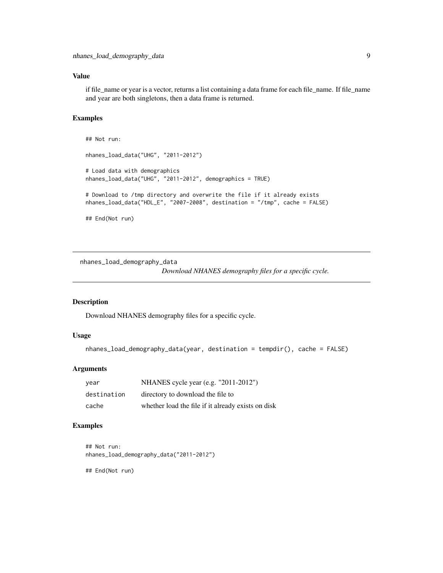#### <span id="page-8-0"></span>Value

if file\_name or year is a vector, returns a list containing a data frame for each file\_name. If file\_name and year are both singletons, then a data frame is returned.

#### Examples

```
## Not run:
nhanes_load_data("UHG", "2011-2012")
# Load data with demographics
nhanes_load_data("UHG", "2011-2012", demographics = TRUE)
# Download to /tmp directory and overwrite the file if it already exists
nhanes_load_data("HDL_E", "2007-2008", destination = "/tmp", cache = FALSE)
## End(Not run)
```
nhanes\_load\_demography\_data

*Download NHANES demography files for a specific cycle.*

#### Description

Download NHANES demography files for a specific cycle.

#### Usage

```
nhanes_load_demography_data(year, destination = tempdir(), cache = FALSE)
```
#### Arguments

| vear        | NHANES cycle year (e.g. $"2011-2012"$ )            |
|-------------|----------------------------------------------------|
| destination | directory to download the file to                  |
| cache       | whether load the file if it already exists on disk |

#### Examples

```
## Not run:
nhanes_load_demography_data("2011-2012")
```
## End(Not run)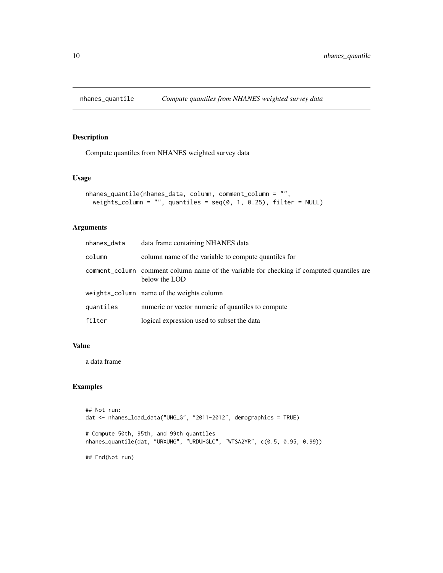<span id="page-9-0"></span>

#### Description

Compute quantiles from NHANES weighted survey data

#### Usage

```
nhanes_quantile(nhanes_data, column, comment_column = "",
 weights_column = "", quantiles = seq(0, 1, 0.25), filter = NULL)
```
### Arguments

| nhanes_data | data frame containing NHANES data                                                                          |
|-------------|------------------------------------------------------------------------------------------------------------|
| column      | column name of the variable to compute quantiles for                                                       |
|             | comment_column comment column name of the variable for checking if computed quantiles are<br>below the LOD |
|             | weights_column name of the weights column                                                                  |
| quantiles   | numeric or vector numeric of quantiles to compute                                                          |
| filter      | logical expression used to subset the data                                                                 |

#### Value

a data frame

### Examples

```
## Not run:
dat <- nhanes_load_data("UHG_G", "2011-2012", demographics = TRUE)
# Compute 50th, 95th, and 99th quantiles
nhanes_quantile(dat, "URXUHG", "URDUHGLC", "WTSA2YR", c(0.5, 0.95, 0.99))
## End(Not run)
```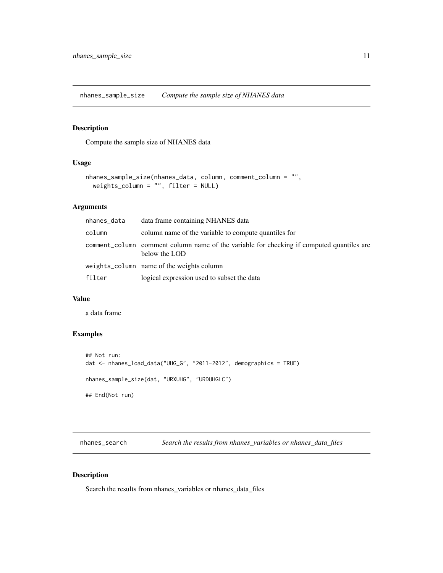<span id="page-10-0"></span>nhanes\_sample\_size *Compute the sample size of NHANES data*

#### Description

Compute the sample size of NHANES data

#### Usage

```
nhanes_sample_size(nhanes_data, column, comment_column = "",
 weights_column = "", filter = NULL)
```
#### Arguments

| nhanes_data | data frame containing NHANES data                                                                          |
|-------------|------------------------------------------------------------------------------------------------------------|
| column      | column name of the variable to compute quantiles for                                                       |
|             | comment_column comment column name of the variable for checking if computed quantiles are<br>below the LOD |
|             | weights_column name of the weights column                                                                  |
| filter      | logical expression used to subset the data                                                                 |

#### Value

a data frame

#### Examples

```
## Not run:
dat <- nhanes_load_data("UHG_G", "2011-2012", demographics = TRUE)
nhanes_sample_size(dat, "URXUHG", "URDUHGLC")
## End(Not run)
```
nhanes\_search *Search the results from nhanes\_variables or nhanes\_data\_files*

#### Description

Search the results from nhanes\_variables or nhanes\_data\_files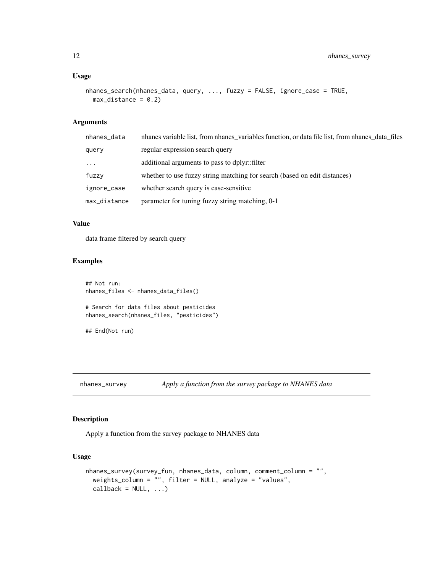#### <span id="page-11-0"></span>Usage

```
nhanes_search(nhanes_data, query, ..., fuzzy = FALSE, ignore_case = TRUE,
 max\_distance = 0.2
```
#### Arguments

| nhanes_data  | nhanes variable list, from nhanes_variables function, or data file list, from nhanes_data_files |
|--------------|-------------------------------------------------------------------------------------------------|
| query        | regular expression search query                                                                 |
| $\cdots$     | additional arguments to pass to dplyr::filter                                                   |
| fuzzy        | whether to use fuzzy string matching for search (based on edit distances)                       |
| ignore_case  | whether search query is case-sensitive                                                          |
| max_distance | parameter for tuning fuzzy string matching, 0-1                                                 |
|              |                                                                                                 |

#### Value

data frame filtered by search query

#### Examples

```
## Not run:
nhanes_files <- nhanes_data_files()
# Search for data files about pesticides
nhanes_search(nhanes_files, "pesticides")
## End(Not run)
```
#### Description

Apply a function from the survey package to NHANES data

#### Usage

```
nhanes_survey(survey_fun, nhanes_data, column, comment_column = "",
 weights_column = "", filter = NULL, analyze = "values",
 callback = NULL, ...)
```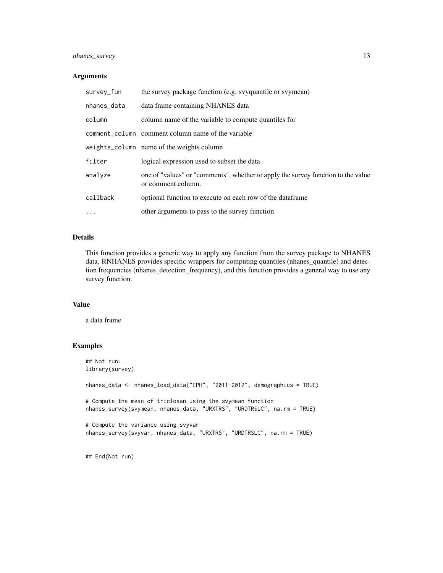#### nhanes\_survey 13

#### Arguments

| survey_fun  | the survey package function (e.g. syquantile or symeses)                                               |
|-------------|--------------------------------------------------------------------------------------------------------|
| nhanes_data | data frame containing NHANES data                                                                      |
| column      | column name of the variable to compute quantiles for                                                   |
|             | comment_column comment column name of the variable                                                     |
|             | weights_column name of the weights column                                                              |
| filter      | logical expression used to subset the data                                                             |
| analyze     | one of "values" or "comments", whether to apply the survey function to the value<br>or comment column. |
| callback    | optional function to execute on each row of the dataframe                                              |
| $\cdots$    | other arguments to pass to the survey function                                                         |

#### Details

This function provides a generic way to apply any function from the survey package to NHANES data. RNHANES provides specific wrappers for computing quantiles (nhanes\_quantile) and detection frequencies (nhanes\_detection\_frequency), and this function provides a general way to use any survey function.

#### Value

a data frame

#### Examples

```
## Not run:
library(survey)
nhanes_data <- nhanes_load_data("EPH", "2011-2012", demographics = TRUE)
# Compute the mean of triclosan using the svymean function
nhanes_survey(svymean, nhanes_data, "URXTRS", "URDTRSLC", na.rm = TRUE)
# Compute the variance using svyvar
nhanes_survey(svyvar, nhanes_data, "URXTRS", "URDTRSLC", na.rm = TRUE)
```
## End(Not run)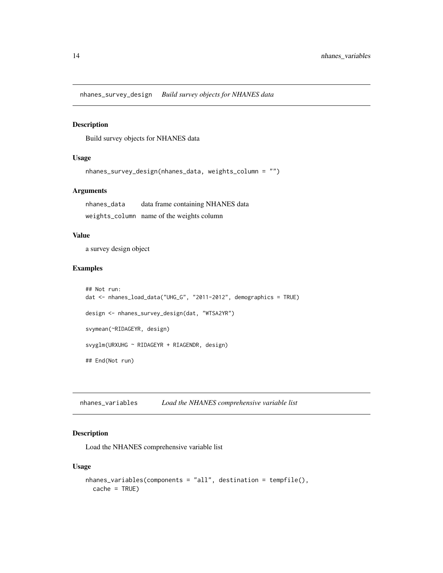<span id="page-13-0"></span>nhanes\_survey\_design *Build survey objects for NHANES data*

#### Description

Build survey objects for NHANES data

#### Usage

```
nhanes_survey_design(nhanes_data, weights_column = "")
```
#### Arguments

nhanes\_data data frame containing NHANES data weights\_column name of the weights column

#### Value

a survey design object

#### Examples

```
## Not run:
dat <- nhanes_load_data("UHG_G", "2011-2012", demographics = TRUE)
design <- nhanes_survey_design(dat, "WTSA2YR")
svymean(~RIDAGEYR, design)
svyglm(URXUHG ~ RIDAGEYR + RIAGENDR, design)
## End(Not run)
```
nhanes\_variables *Load the NHANES comprehensive variable list*

#### Description

Load the NHANES comprehensive variable list

#### Usage

```
nhanes_variables(components = "all", destination = tempfile(),
 cache = TRUE)
```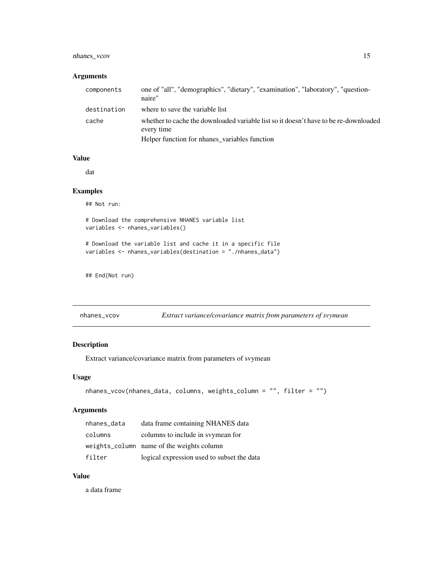#### <span id="page-14-0"></span>nhanes\_vcov 15

#### Arguments

| components  | one of "all", "demographics", "dietary", "examination", "laboratory", "question-<br>naire"         |
|-------------|----------------------------------------------------------------------------------------------------|
| destination | where to save the variable list                                                                    |
| cache       | whether to cache the downloaded variable list so it doesn't have to be re-downloaded<br>every time |
|             | Helper function for nhanes_variables function                                                      |

#### Value

dat

#### Examples

## Not run:

# Download the comprehensive NHANES variable list variables <- nhanes\_variables()

# Download the variable list and cache it in a specific file variables <- nhanes\_variables(destination = "./nhanes\_data")

## End(Not run)

| nhanes_vcov |  | Extract variance/covariance matrix from parameters of svymean |
|-------------|--|---------------------------------------------------------------|
|             |  |                                                               |

#### Description

Extract variance/covariance matrix from parameters of svymean

#### Usage

```
nhanes_vcov(nhanes_data, columns, weights_column = "", filter = "")
```
#### Arguments

| nhanes_data | data frame containing NHANES data          |
|-------------|--------------------------------------------|
| columns     | columns to include in symmether for        |
|             | weights_column name of the weights column  |
| filter      | logical expression used to subset the data |

#### Value

a data frame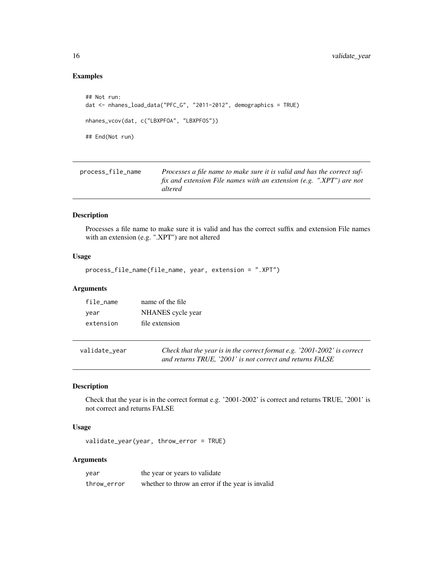### Examples

```
## Not run:
dat <- nhanes_load_data("PFC_G", "2011-2012", demographics = TRUE)
nhanes_vcov(dat, c("LBXPFOA", "LBXPFOS"))
## End(Not run)
```

| process_file_name | Processes a file name to make sure it is valid and has the correct suf-         |
|-------------------|---------------------------------------------------------------------------------|
|                   | fix and extension File names with an extension (e.g. ".XPT") are not<br>altered |
|                   |                                                                                 |

#### Description

Processes a file name to make sure it is valid and has the correct suffix and extension File names with an extension (e.g. ".XPT") are not altered

#### Usage

```
process_file_name(file_name, year, extension = ".XPT")
```
#### Arguments

| file name | name of the file  |
|-----------|-------------------|
| vear      | NHANES cycle year |
| extension | file extension    |

| validate_year | Check that the year is in the correct format e.g. '2001-2002' is correct |
|---------------|--------------------------------------------------------------------------|
|               | and returns TRUE, '2001' is not correct and returns FALSE                |

#### Description

Check that the year is in the correct format e.g. '2001-2002' is correct and returns TRUE, '2001' is not correct and returns FALSE

#### Usage

validate\_year(year, throw\_error = TRUE)

#### Arguments

| year        | the year or years to validate                    |
|-------------|--------------------------------------------------|
| throw error | whether to throw an error if the year is invalid |

<span id="page-15-0"></span>